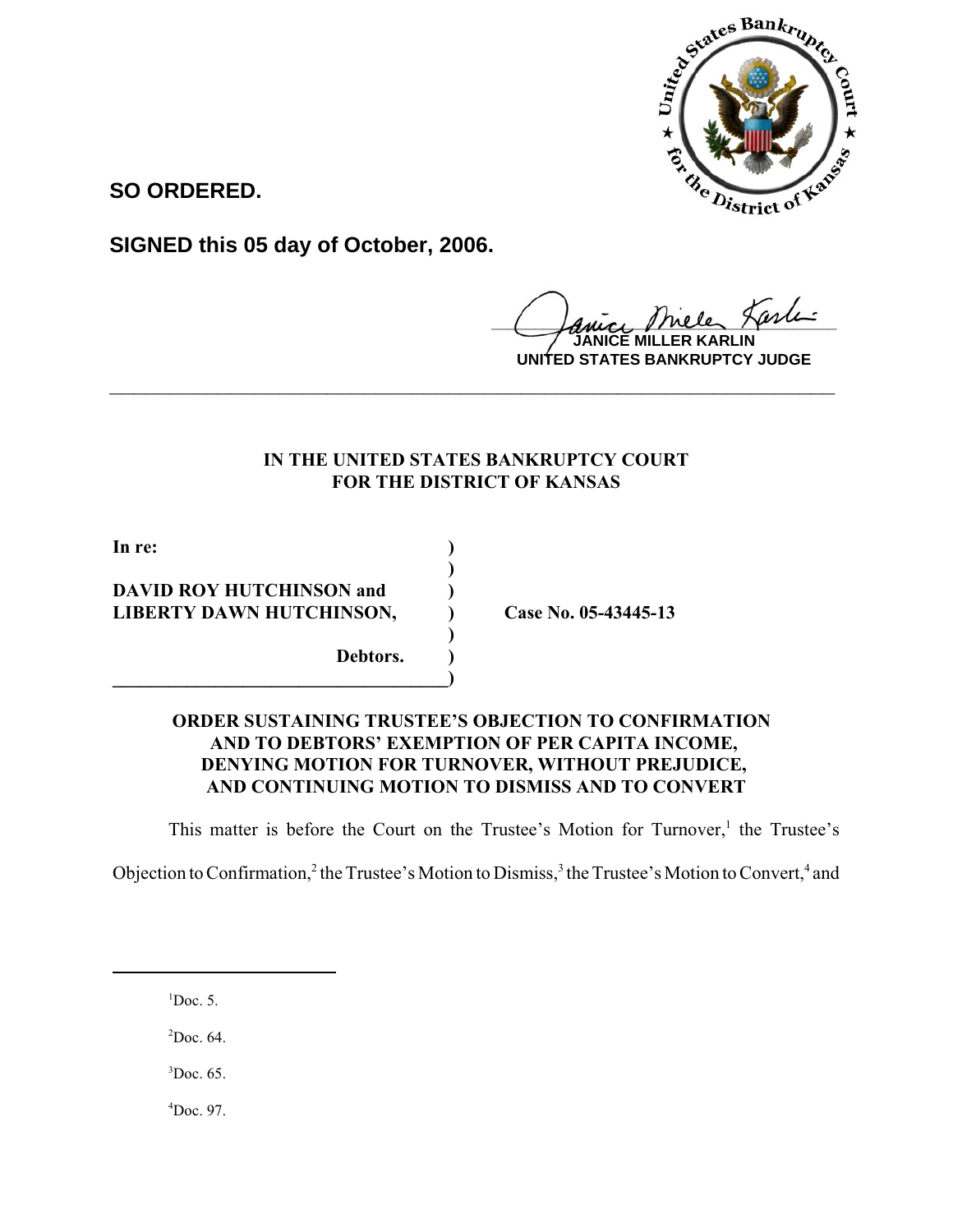

**SO ORDERED.**

**SIGNED this 05 day of October, 2006.**

 $\mu$ ele Larle

**JANICE MILLER KARLIN UNITED STATES BANKRUPTCY JUDGE**

# **IN THE UNITED STATES BANKRUPTCY COURT FOR THE DISTRICT OF KANSAS**

**\_\_\_\_\_\_\_\_\_\_\_\_\_\_\_\_\_\_\_\_\_\_\_\_\_\_\_\_\_\_\_\_\_\_\_\_\_\_\_\_\_\_\_\_\_\_\_\_\_\_\_\_\_\_\_\_\_\_\_\_**

**)**

**)**

**In re: ) DAVID ROY HUTCHINSON and ) LIBERTY DAWN HUTCHINSON, ) Case No. 05-43445-13 Debtors. )**

**\_\_\_\_\_\_\_\_\_\_\_\_\_\_\_\_\_\_\_\_\_\_\_\_\_\_\_\_\_\_\_\_\_\_\_\_)**

## **ORDER SUSTAINING TRUSTEE'S OBJECTION TO CONFIRMATION AND TO DEBTORS' EXEMPTION OF PER CAPITA INCOME, DENYING MOTION FOR TURNOVER, WITHOUT PREJUDICE, AND CONTINUING MOTION TO DISMISS AND TO CONVERT**

This matter is before the Court on the Trustee's Motion for Turnover,<sup>1</sup> the Trustee's

Objection to Confirmation,<sup>2</sup> the Trustee's Motion to Dismiss,<sup>3</sup> the Trustee's Motion to Convert,<sup>4</sup> and

 ${}^{1}$ Doc. 5.

 $2$ Doc. 64.

 ${}^{3}$ Doc. 65.

 $^{4}$ Doc. 97.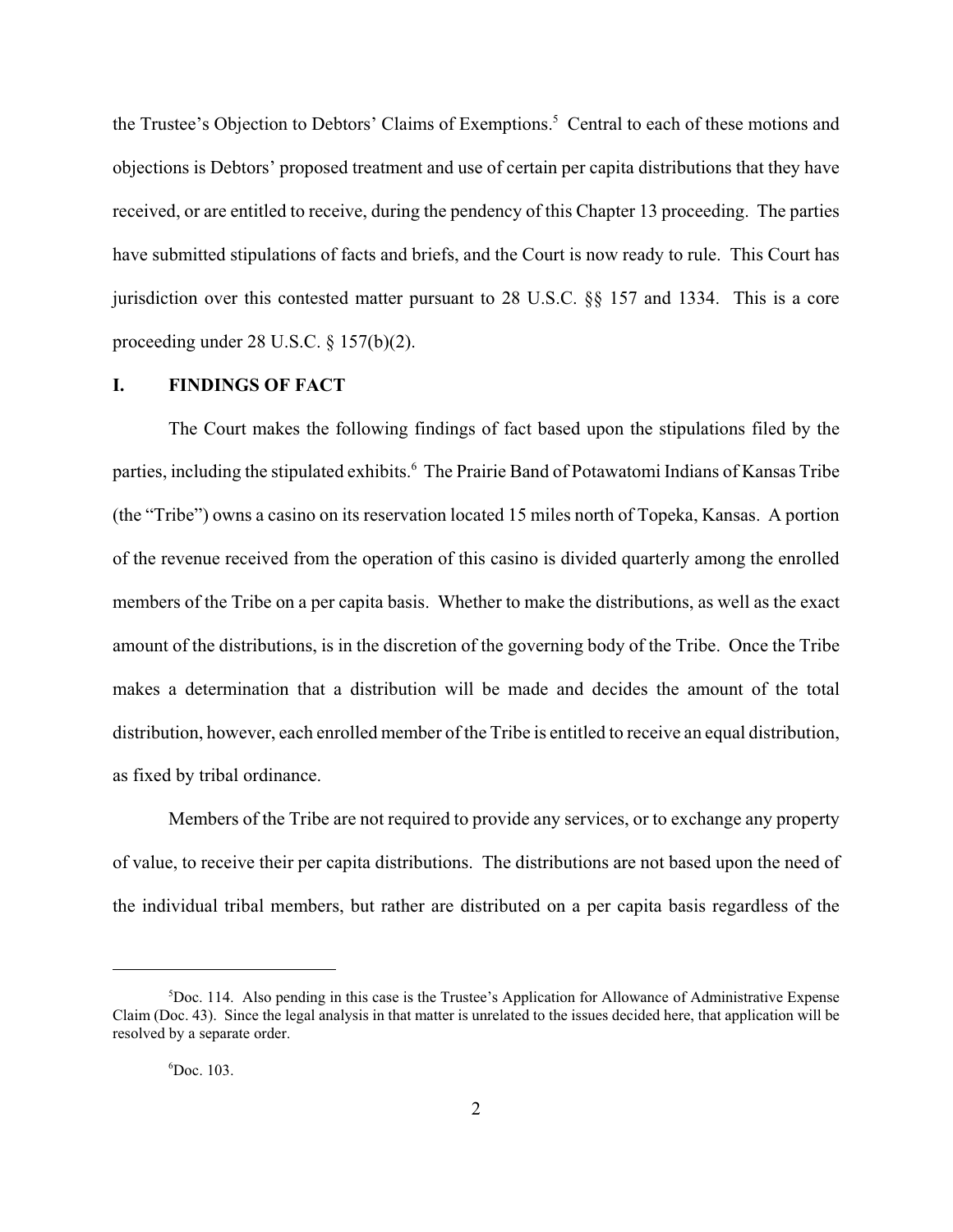the Trustee's Objection to Debtors' Claims of Exemptions.<sup>5</sup> Central to each of these motions and objections is Debtors' proposed treatment and use of certain per capita distributions that they have received, or are entitled to receive, during the pendency of this Chapter 13 proceeding. The parties have submitted stipulations of facts and briefs, and the Court is now ready to rule. This Court has jurisdiction over this contested matter pursuant to 28 U.S.C. §§ 157 and 1334. This is a core proceeding under 28 U.S.C. § 157(b)(2).

### **I. FINDINGS OF FACT**

The Court makes the following findings of fact based upon the stipulations filed by the parties, including the stipulated exhibits.<sup>6</sup> The Prairie Band of Potawatomi Indians of Kansas Tribe (the "Tribe") owns a casino on its reservation located 15 miles north of Topeka, Kansas. A portion of the revenue received from the operation of this casino is divided quarterly among the enrolled members of the Tribe on a per capita basis. Whether to make the distributions, as well as the exact amount of the distributions, is in the discretion of the governing body of the Tribe. Once the Tribe makes a determination that a distribution will be made and decides the amount of the total distribution, however, each enrolled member of the Tribe is entitled to receive an equal distribution, as fixed by tribal ordinance.

Members of the Tribe are not required to provide any services, or to exchange any property of value, to receive their per capita distributions. The distributions are not based upon the need of the individual tribal members, but rather are distributed on a per capita basis regardless of the

<sup>5</sup> Doc. 114. Also pending in this case is the Trustee's Application for Allowance of Administrative Expense Claim (Doc. 43). Since the legal analysis in that matter is unrelated to the issues decided here, that application will be resolved by a separate order.

<sup>6</sup> Doc. 103.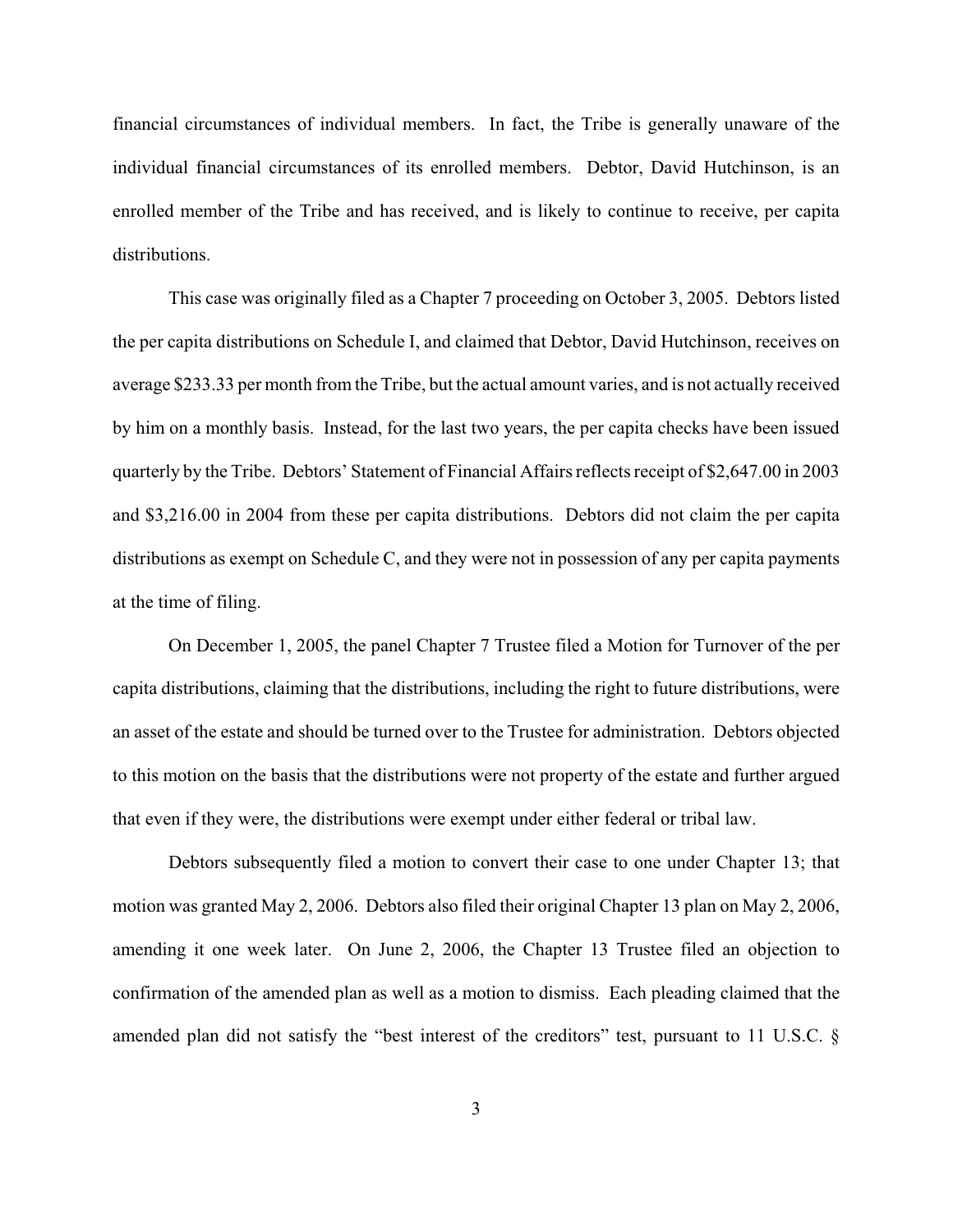financial circumstances of individual members. In fact, the Tribe is generally unaware of the individual financial circumstances of its enrolled members. Debtor, David Hutchinson, is an enrolled member of the Tribe and has received, and is likely to continue to receive, per capita distributions.

This case was originally filed as a Chapter 7 proceeding on October 3, 2005. Debtors listed the per capita distributions on Schedule I, and claimed that Debtor, David Hutchinson, receives on average \$233.33 per month from the Tribe, but the actual amount varies, and is not actually received by him on a monthly basis. Instead, for the last two years, the per capita checks have been issued quarterly by the Tribe. Debtors' Statement of Financial Affairs reflects receipt of \$2,647.00 in 2003 and \$3,216.00 in 2004 from these per capita distributions. Debtors did not claim the per capita distributions as exempt on Schedule C, and they were not in possession of any per capita payments at the time of filing.

On December 1, 2005, the panel Chapter 7 Trustee filed a Motion for Turnover of the per capita distributions, claiming that the distributions, including the right to future distributions, were an asset of the estate and should be turned over to the Trustee for administration. Debtors objected to this motion on the basis that the distributions were not property of the estate and further argued that even if they were, the distributions were exempt under either federal or tribal law.

Debtors subsequently filed a motion to convert their case to one under Chapter 13; that motion was granted May 2, 2006. Debtors also filed their original Chapter 13 plan on May 2, 2006, amending it one week later. On June 2, 2006, the Chapter 13 Trustee filed an objection to confirmation of the amended plan as well as a motion to dismiss. Each pleading claimed that the amended plan did not satisfy the "best interest of the creditors" test, pursuant to 11 U.S.C. §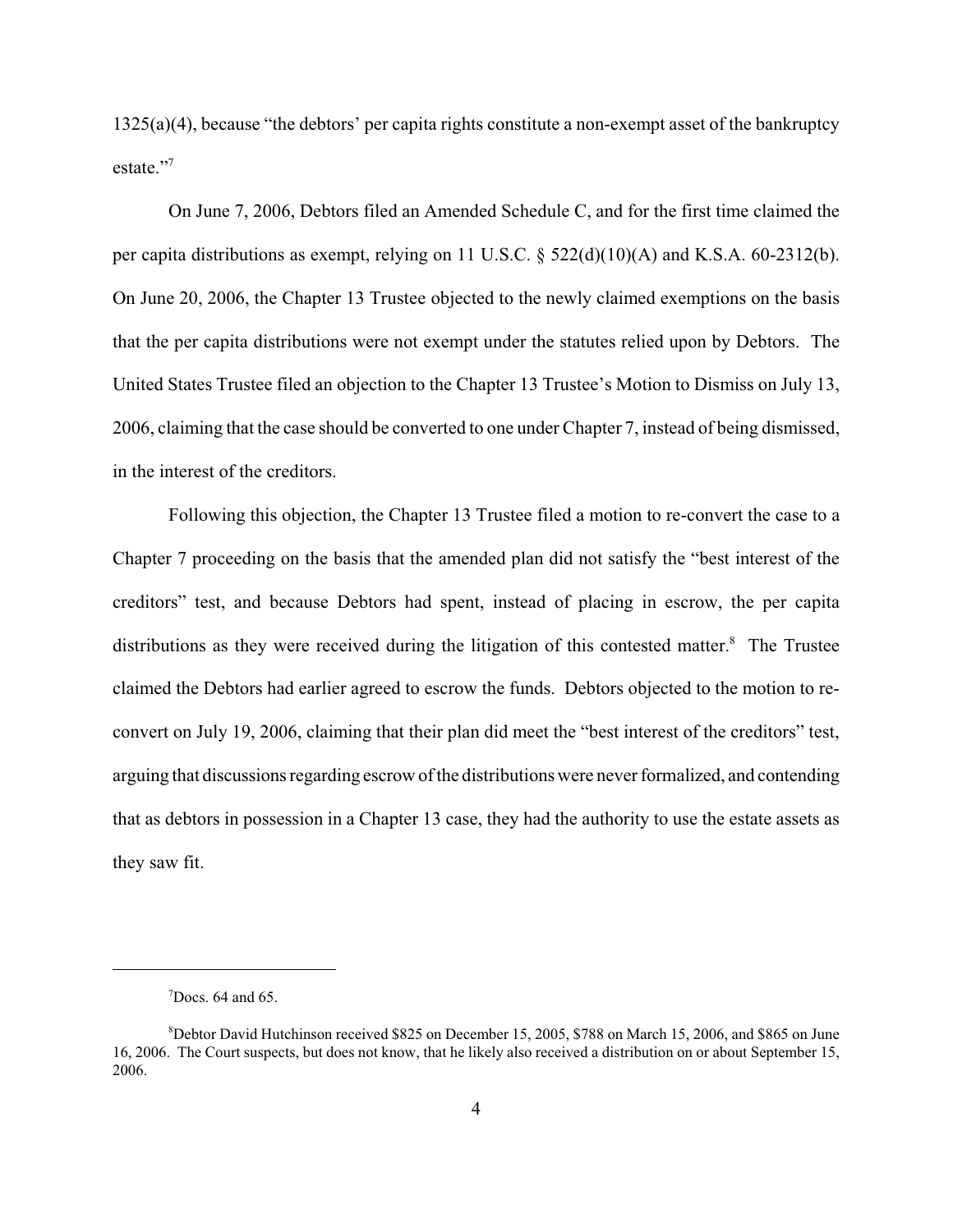1325(a)(4), because "the debtors' per capita rights constitute a non-exempt asset of the bankruptcy estate."7

On June 7, 2006, Debtors filed an Amended Schedule C, and for the first time claimed the per capita distributions as exempt, relying on 11 U.S.C. § 522(d)(10)(A) and K.S.A. 60-2312(b). On June 20, 2006, the Chapter 13 Trustee objected to the newly claimed exemptions on the basis that the per capita distributions were not exempt under the statutes relied upon by Debtors. The United States Trustee filed an objection to the Chapter 13 Trustee's Motion to Dismiss on July 13, 2006, claiming that the case should be converted to one under Chapter 7, instead of being dismissed, in the interest of the creditors.

Following this objection, the Chapter 13 Trustee filed a motion to re-convert the case to a Chapter 7 proceeding on the basis that the amended plan did not satisfy the "best interest of the creditors" test, and because Debtors had spent, instead of placing in escrow, the per capita distributions as they were received during the litigation of this contested matter.<sup>8</sup> The Trustee claimed the Debtors had earlier agreed to escrow the funds. Debtors objected to the motion to reconvert on July 19, 2006, claiming that their plan did meet the "best interest of the creditors" test, arguing that discussions regarding escrow of the distributions were never formalized, and contending that as debtors in possession in a Chapter 13 case, they had the authority to use the estate assets as they saw fit.

 $7$ Docs. 64 and 65.

<sup>8</sup> Debtor David Hutchinson received \$825 on December 15, 2005, \$788 on March 15, 2006, and \$865 on June 16, 2006. The Court suspects, but does not know, that he likely also received a distribution on or about September 15, 2006.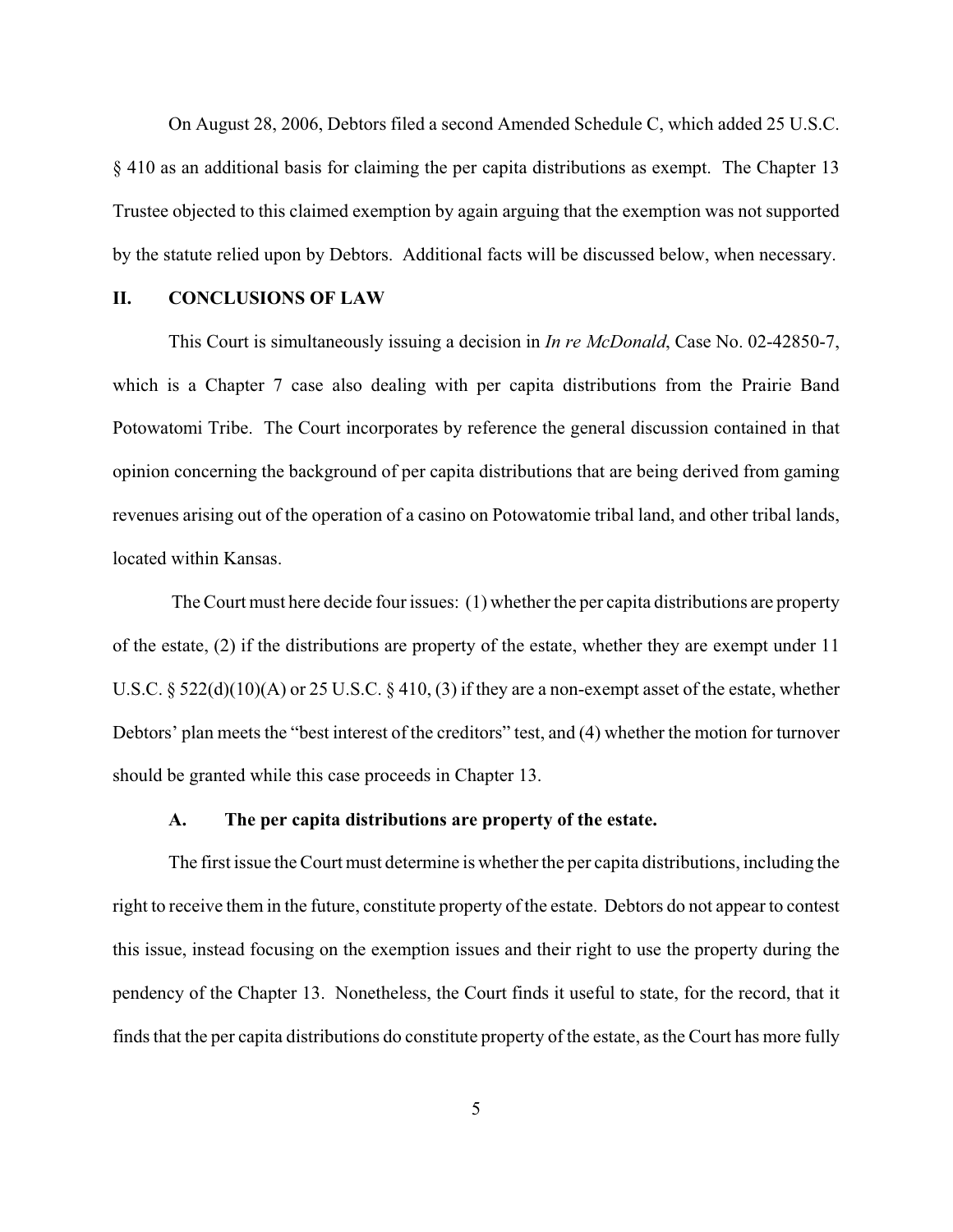On August 28, 2006, Debtors filed a second Amended Schedule C, which added 25 U.S.C. § 410 as an additional basis for claiming the per capita distributions as exempt. The Chapter 13 Trustee objected to this claimed exemption by again arguing that the exemption was not supported by the statute relied upon by Debtors. Additional facts will be discussed below, when necessary.

#### **II. CONCLUSIONS OF LAW**

This Court is simultaneously issuing a decision in *In re McDonald*, Case No. 02-42850-7, which is a Chapter 7 case also dealing with per capita distributions from the Prairie Band Potowatomi Tribe. The Court incorporates by reference the general discussion contained in that opinion concerning the background of per capita distributions that are being derived from gaming revenues arising out of the operation of a casino on Potowatomie tribal land, and other tribal lands, located within Kansas.

 The Court must here decide four issues: (1) whether the per capita distributions are property of the estate, (2) if the distributions are property of the estate, whether they are exempt under 11 U.S.C. § 522(d)(10)(A) or 25 U.S.C. § 410, (3) if they are a non-exempt asset of the estate, whether Debtors' plan meets the "best interest of the creditors" test, and (4) whether the motion for turnover should be granted while this case proceeds in Chapter 13.

### **A. The per capita distributions are property of the estate.**

The first issue the Court must determine is whether the per capita distributions, including the right to receive them in the future, constitute property of the estate. Debtors do not appear to contest this issue, instead focusing on the exemption issues and their right to use the property during the pendency of the Chapter 13. Nonetheless, the Court finds it useful to state, for the record, that it finds that the per capita distributions do constitute property of the estate, as the Court has more fully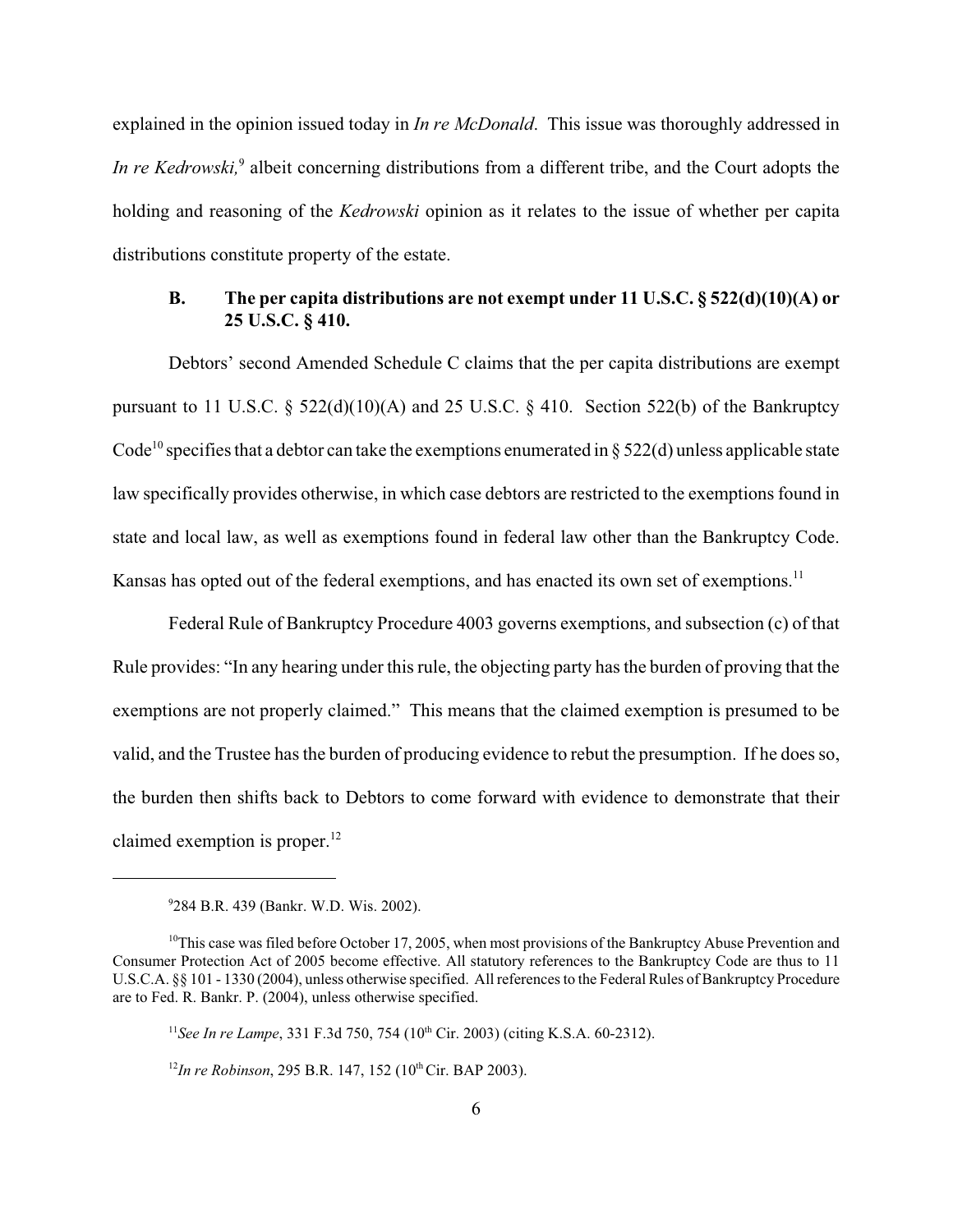explained in the opinion issued today in *In re McDonald*. This issue was thoroughly addressed in In re Kedrowski,<sup>9</sup> albeit concerning distributions from a different tribe, and the Court adopts the holding and reasoning of the *Kedrowski* opinion as it relates to the issue of whether per capita distributions constitute property of the estate.

### **B. The per capita distributions are not exempt under 11 U.S.C. § 522(d)(10)(A) or 25 U.S.C. § 410.**

Debtors' second Amended Schedule C claims that the per capita distributions are exempt pursuant to 11 U.S.C.  $\S$  522(d)(10)(A) and 25 U.S.C.  $\S$  410. Section 522(b) of the Bankruptcy Code<sup>10</sup> specifies that a debtor can take the exemptions enumerated in § 522(d) unless applicable state law specifically provides otherwise, in which case debtors are restricted to the exemptions found in state and local law, as well as exemptions found in federal law other than the Bankruptcy Code. Kansas has opted out of the federal exemptions, and has enacted its own set of exemptions.<sup>11</sup>

Federal Rule of Bankruptcy Procedure 4003 governs exemptions, and subsection (c) of that Rule provides: "In any hearing under this rule, the objecting party has the burden of proving that the exemptions are not properly claimed." This means that the claimed exemption is presumed to be valid, and the Trustee has the burden of producing evidence to rebut the presumption. If he does so, the burden then shifts back to Debtors to come forward with evidence to demonstrate that their claimed exemption is proper. $12$ 

<sup>9</sup> 284 B.R. 439 (Bankr. W.D. Wis. 2002).

 $10$ This case was filed before October 17, 2005, when most provisions of the Bankruptcy Abuse Prevention and Consumer Protection Act of 2005 become effective. All statutory references to the Bankruptcy Code are thus to 11 U.S.C.A. §§ 101 - 1330 (2004), unless otherwise specified. All references to the Federal Rules of Bankruptcy Procedure are to Fed. R. Bankr. P. (2004), unless otherwise specified.

<sup>&</sup>lt;sup>11</sup>See In re Lampe, 331 F.3d 750, 754 (10<sup>th</sup> Cir. 2003) (citing K.S.A. 60-2312).

<sup>&</sup>lt;sup>12</sup>In re Robinson, 295 B.R. 147, 152 (10<sup>th</sup> Cir. BAP 2003).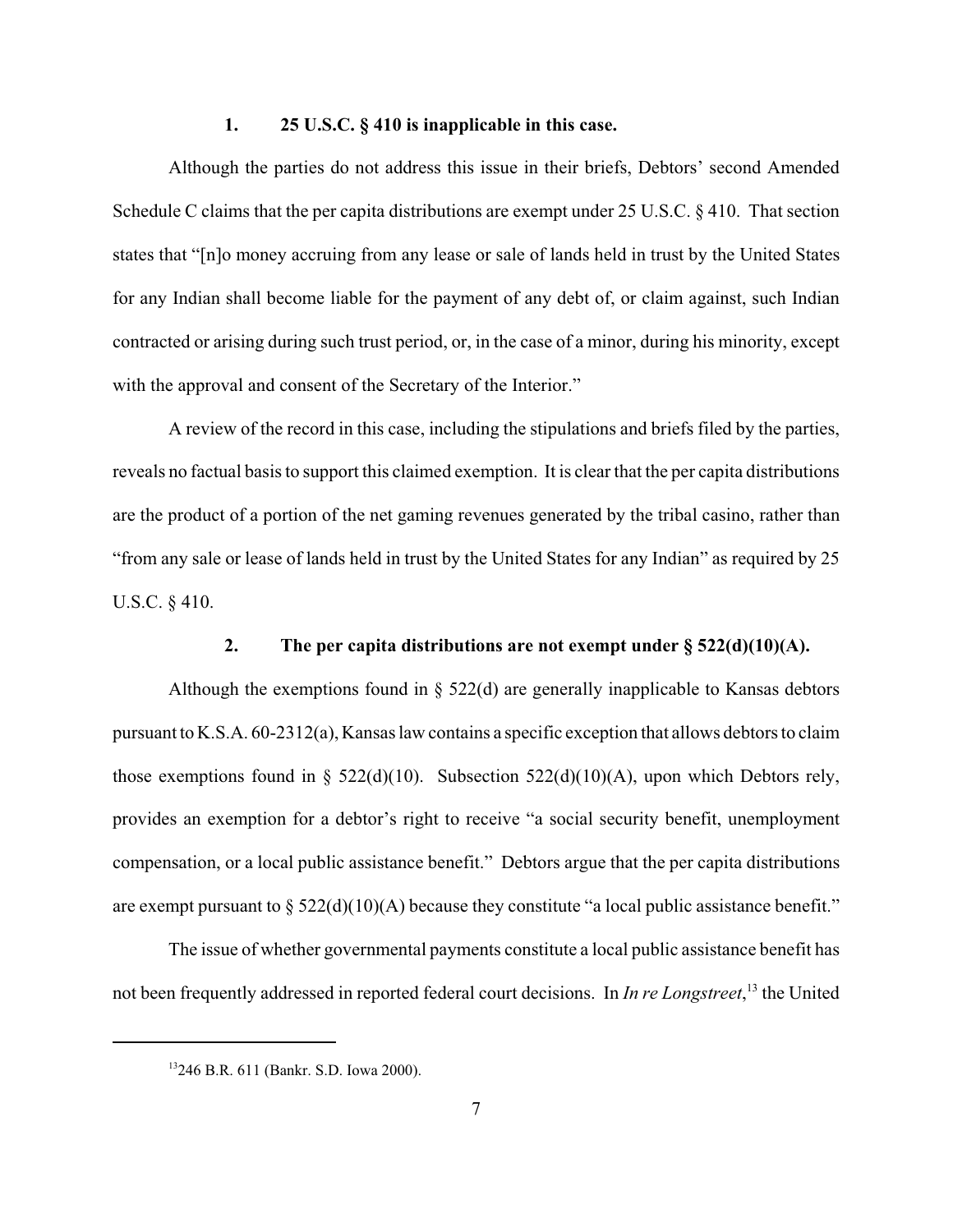#### **1. 25 U.S.C. § 410 is inapplicable in this case.**

Although the parties do not address this issue in their briefs, Debtors' second Amended Schedule C claims that the per capita distributions are exempt under 25 U.S.C. § 410. That section states that "[n]o money accruing from any lease or sale of lands held in trust by the United States for any Indian shall become liable for the payment of any debt of, or claim against, such Indian contracted or arising during such trust period, or, in the case of a minor, during his minority, except with the approval and consent of the Secretary of the Interior."

A review of the record in this case, including the stipulations and briefs filed by the parties, reveals no factual basis to support this claimed exemption. It is clear that the per capita distributions are the product of a portion of the net gaming revenues generated by the tribal casino, rather than "from any sale or lease of lands held in trust by the United States for any Indian" as required by 25 U.S.C. § 410.

#### **2.** The per capita distributions are not exempt under  $\S 522(d)(10)(A)$ .

Although the exemptions found in  $\S$  522(d) are generally inapplicable to Kansas debtors pursuant to K.S.A. 60-2312(a), Kansas law contains a specific exception that allows debtors to claim those exemptions found in §  $522(d)(10)$ . Subsection  $522(d)(10)(A)$ , upon which Debtors rely, provides an exemption for a debtor's right to receive "a social security benefit, unemployment compensation, or a local public assistance benefit." Debtors argue that the per capita distributions are exempt pursuant to  $\S 522(d)(10)(A)$  because they constitute "a local public assistance benefit."

The issue of whether governmental payments constitute a local public assistance benefit has not been frequently addressed in reported federal court decisions. In *In re Longstreet*, 13 the United

<sup>13246</sup> B.R. 611 (Bankr. S.D. Iowa 2000).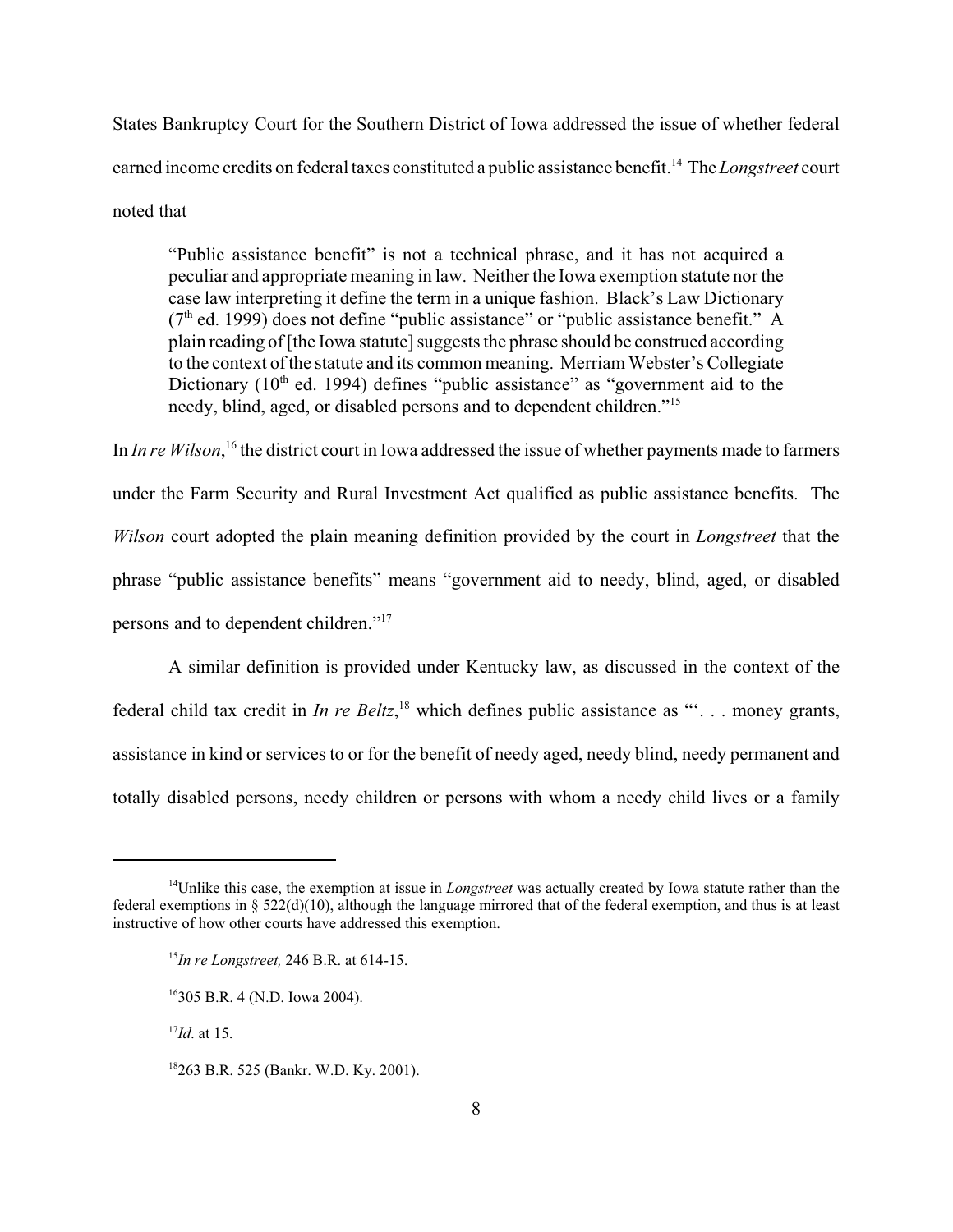States Bankruptcy Court for the Southern District of Iowa addressed the issue of whether federal earned income credits on federal taxes constituted a public assistance benefit.14 The *Longstreet* court noted that

"Public assistance benefit" is not a technical phrase, and it has not acquired a peculiar and appropriate meaning in law. Neither the Iowa exemption statute nor the case law interpreting it define the term in a unique fashion. Black's Law Dictionary  $(7<sup>th</sup>$  ed. 1999) does not define "public assistance" or "public assistance benefit." A plain reading of [the Iowa statute] suggests the phrase should be construed according to the context of the statute and its common meaning. Merriam Webster's Collegiate Dictionary ( $10<sup>th</sup>$  ed. 1994) defines "public assistance" as "government aid to the needy, blind, aged, or disabled persons and to dependent children."15

In *In re Wilson*, 16 the district court in Iowa addressed the issue of whether payments made to farmers under the Farm Security and Rural Investment Act qualified as public assistance benefits. The *Wilson* court adopted the plain meaning definition provided by the court in *Longstreet* that the phrase "public assistance benefits" means "government aid to needy, blind, aged, or disabled persons and to dependent children."17

A similar definition is provided under Kentucky law, as discussed in the context of the federal child tax credit in *In re Beltz*,<sup>18</sup> which defines public assistance as "". . . money grants, assistance in kind or services to or for the benefit of needy aged, needy blind, needy permanent and totally disabled persons, needy children or persons with whom a needy child lives or a family

<sup>14</sup>Unlike this case, the exemption at issue in *Longstreet* was actually created by Iowa statute rather than the federal exemptions in § 522(d)(10), although the language mirrored that of the federal exemption, and thus is at least instructive of how other courts have addressed this exemption.

<sup>15</sup>*In re Longstreet,* 246 B.R. at 614-15.

<sup>16305</sup> B.R. 4 (N.D. Iowa 2004).

<sup>17</sup>*Id*. at 15.

<sup>18263</sup> B.R. 525 (Bankr. W.D. Ky. 2001).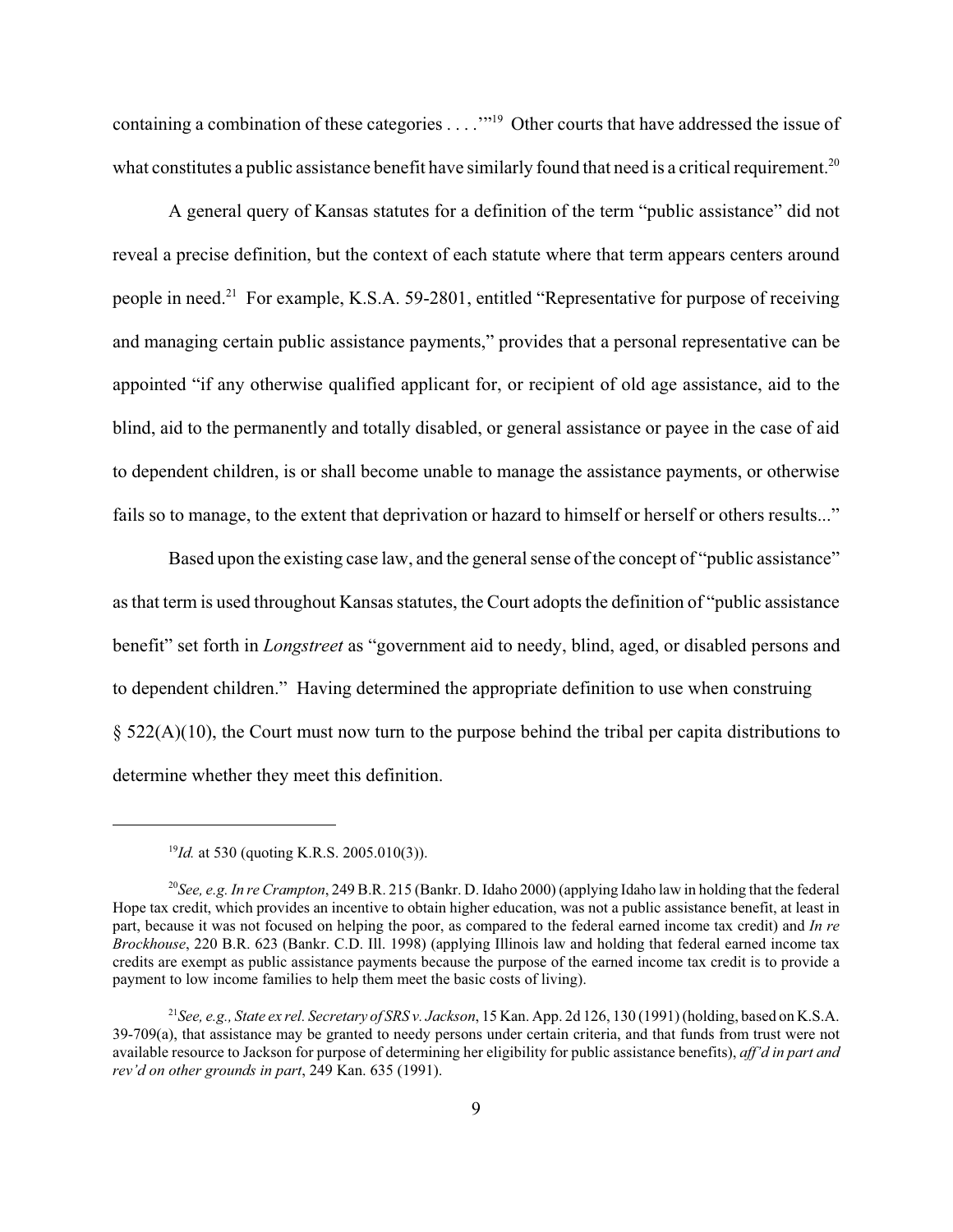containing a combination of these categories . . . .'"19 Other courts that have addressed the issue of what constitutes a public assistance benefit have similarly found that need is a critical requirement.<sup>20</sup>

A general query of Kansas statutes for a definition of the term "public assistance" did not reveal a precise definition, but the context of each statute where that term appears centers around people in need.<sup>21</sup> For example, K.S.A. 59-2801, entitled "Representative for purpose of receiving and managing certain public assistance payments," provides that a personal representative can be appointed "if any otherwise qualified applicant for, or recipient of old age assistance, aid to the blind, aid to the permanently and totally disabled, or general assistance or payee in the case of aid to dependent children, is or shall become unable to manage the assistance payments, or otherwise fails so to manage, to the extent that deprivation or hazard to himself or herself or others results..."

Based upon the existing case law, and the general sense of the concept of "public assistance" as that term is used throughout Kansas statutes, the Court adopts the definition of "public assistance benefit" set forth in *Longstreet* as "government aid to needy, blind, aged, or disabled persons and to dependent children." Having determined the appropriate definition to use when construing  $\S$  522(A)(10), the Court must now turn to the purpose behind the tribal per capita distributions to determine whether they meet this definition.

<sup>19</sup>*Id.* at 530 (quoting K.R.S. 2005.010(3)).

<sup>20</sup>*See, e.g. In re Crampton*, 249 B.R. 215 (Bankr. D. Idaho 2000) (applying Idaho law in holding that the federal Hope tax credit, which provides an incentive to obtain higher education, was not a public assistance benefit, at least in part, because it was not focused on helping the poor, as compared to the federal earned income tax credit) and *In re Brockhouse*, 220 B.R. 623 (Bankr. C.D. Ill. 1998) (applying Illinois law and holding that federal earned income tax credits are exempt as public assistance payments because the purpose of the earned income tax credit is to provide a payment to low income families to help them meet the basic costs of living).

<sup>21</sup>*See, e.g., State ex rel. Secretary of SRS v. Jackson*, 15 Kan. App. 2d 126, 130 (1991) (holding, based on K.S.A. 39-709(a), that assistance may be granted to needy persons under certain criteria, and that funds from trust were not available resource to Jackson for purpose of determining her eligibility for public assistance benefits), *aff'd in part and rev'd on other grounds in part*, 249 Kan. 635 (1991).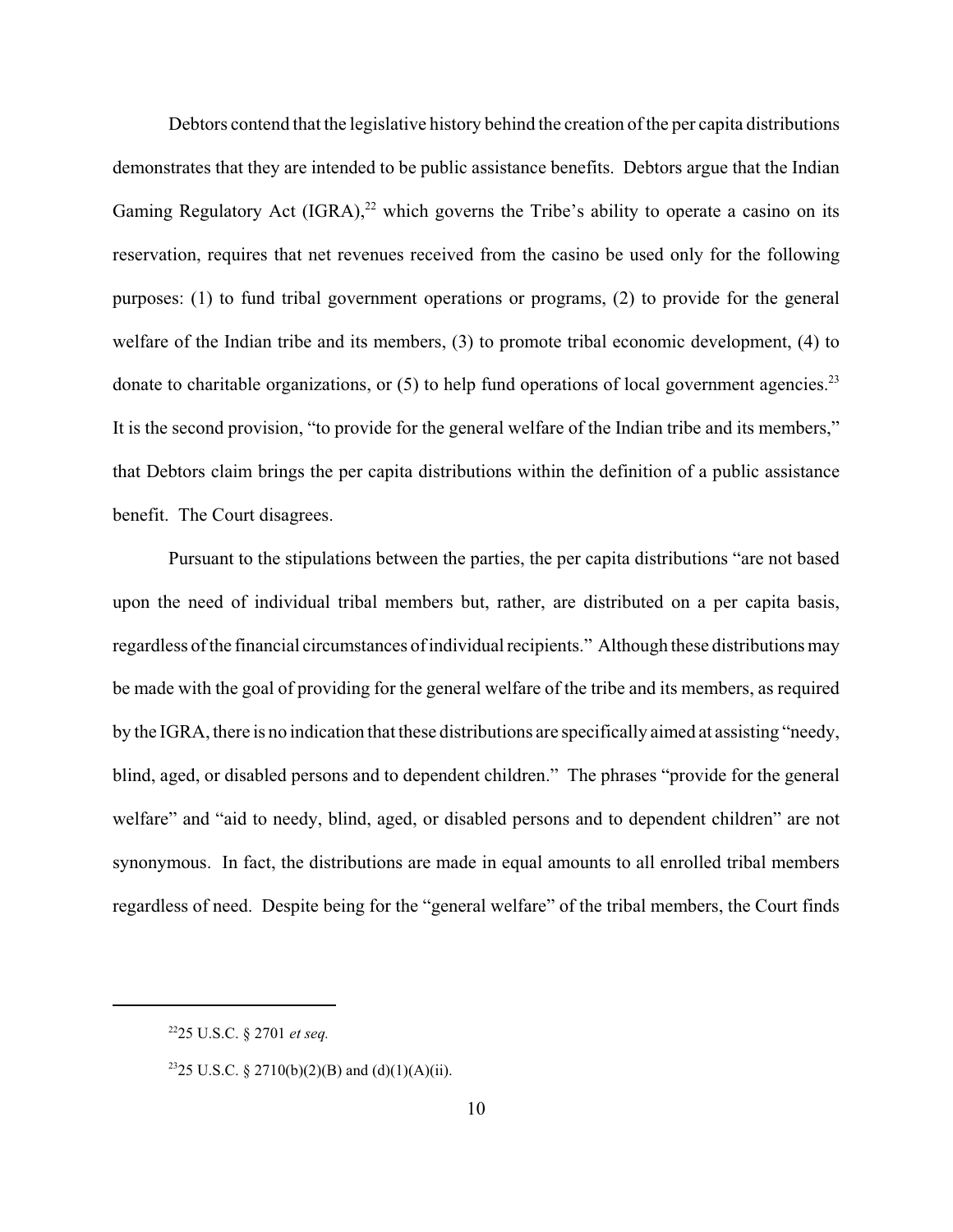Debtors contend that the legislative history behind the creation of the per capita distributions demonstrates that they are intended to be public assistance benefits. Debtors argue that the Indian Gaming Regulatory Act  $(IGRA)^{22}$  which governs the Tribe's ability to operate a casino on its reservation, requires that net revenues received from the casino be used only for the following purposes: (1) to fund tribal government operations or programs, (2) to provide for the general welfare of the Indian tribe and its members, (3) to promote tribal economic development, (4) to donate to charitable organizations, or  $(5)$  to help fund operations of local government agencies.<sup>23</sup> It is the second provision, "to provide for the general welfare of the Indian tribe and its members," that Debtors claim brings the per capita distributions within the definition of a public assistance benefit. The Court disagrees.

Pursuant to the stipulations between the parties, the per capita distributions "are not based upon the need of individual tribal members but, rather, are distributed on a per capita basis, regardless of the financial circumstances of individual recipients." Although these distributions may be made with the goal of providing for the general welfare of the tribe and its members, as required by the IGRA, there is no indication that these distributions are specifically aimed at assisting "needy, blind, aged, or disabled persons and to dependent children." The phrases "provide for the general welfare" and "aid to needy, blind, aged, or disabled persons and to dependent children" are not synonymous. In fact, the distributions are made in equal amounts to all enrolled tribal members regardless of need. Despite being for the "general welfare" of the tribal members, the Court finds

<sup>2225</sup> U.S.C. § 2701 *et seq.*

<sup>&</sup>lt;sup>23</sup>25 U.S.C. § 2710(b)(2)(B) and (d)(1)(A)(ii).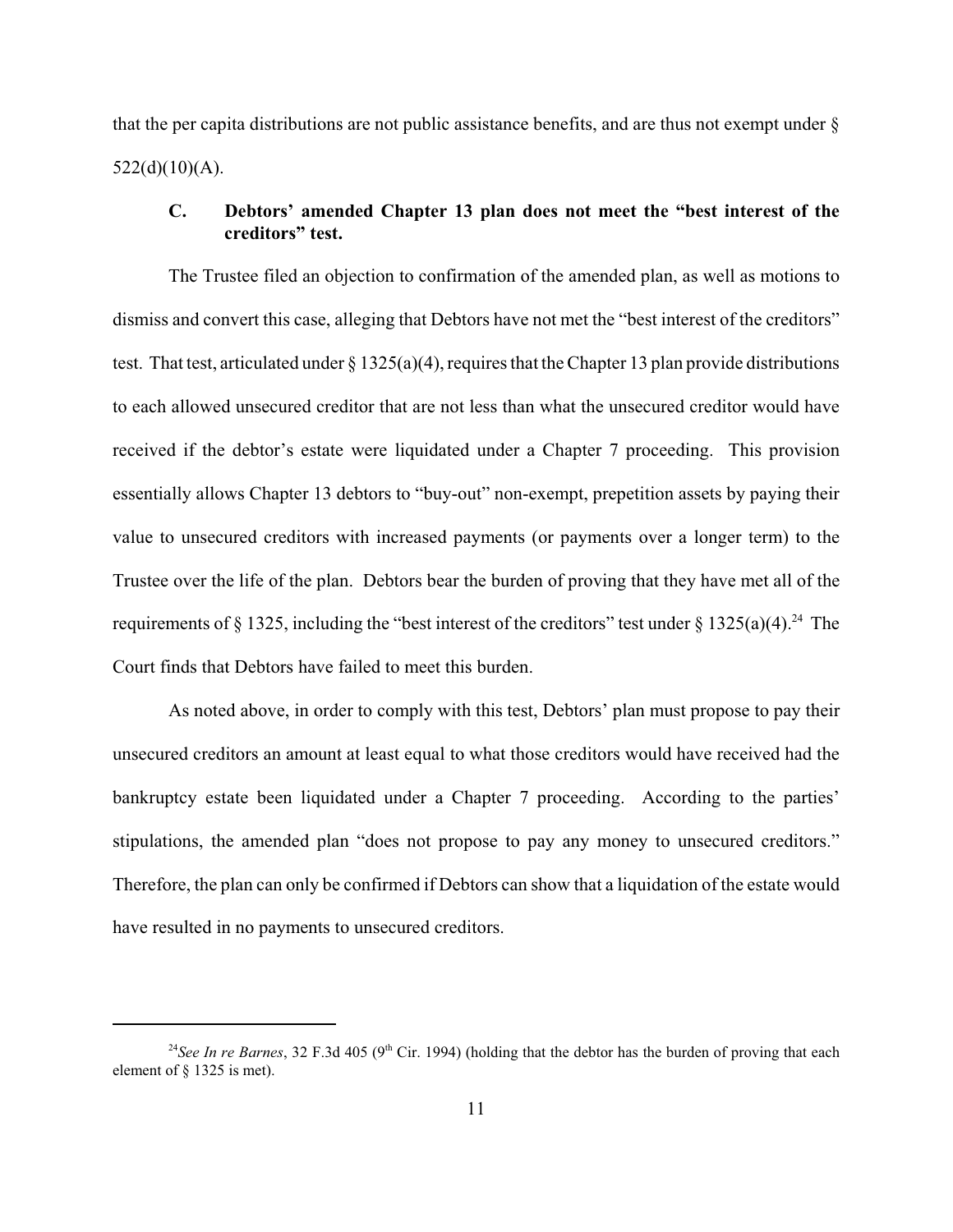that the per capita distributions are not public assistance benefits, and are thus not exempt under §  $522(d)(10)(A)$ .

### **C. Debtors' amended Chapter 13 plan does not meet the "best interest of the creditors" test.**

The Trustee filed an objection to confirmation of the amended plan, as well as motions to dismiss and convert this case, alleging that Debtors have not met the "best interest of the creditors" test. That test, articulated under § 1325(a)(4), requires that the Chapter 13 plan provide distributions to each allowed unsecured creditor that are not less than what the unsecured creditor would have received if the debtor's estate were liquidated under a Chapter 7 proceeding. This provision essentially allows Chapter 13 debtors to "buy-out" non-exempt, prepetition assets by paying their value to unsecured creditors with increased payments (or payments over a longer term) to the Trustee over the life of the plan. Debtors bear the burden of proving that they have met all of the requirements of § 1325, including the "best interest of the creditors" test under § 1325(a)(4).<sup>24</sup> The Court finds that Debtors have failed to meet this burden.

As noted above, in order to comply with this test, Debtors' plan must propose to pay their unsecured creditors an amount at least equal to what those creditors would have received had the bankruptcy estate been liquidated under a Chapter 7 proceeding. According to the parties' stipulations, the amended plan "does not propose to pay any money to unsecured creditors." Therefore, the plan can only be confirmed if Debtors can show that a liquidation of the estate would have resulted in no payments to unsecured creditors.

<sup>&</sup>lt;sup>24</sup>See In re Barnes, 32 F.3d 405 (9<sup>th</sup> Cir. 1994) (holding that the debtor has the burden of proving that each element of § 1325 is met).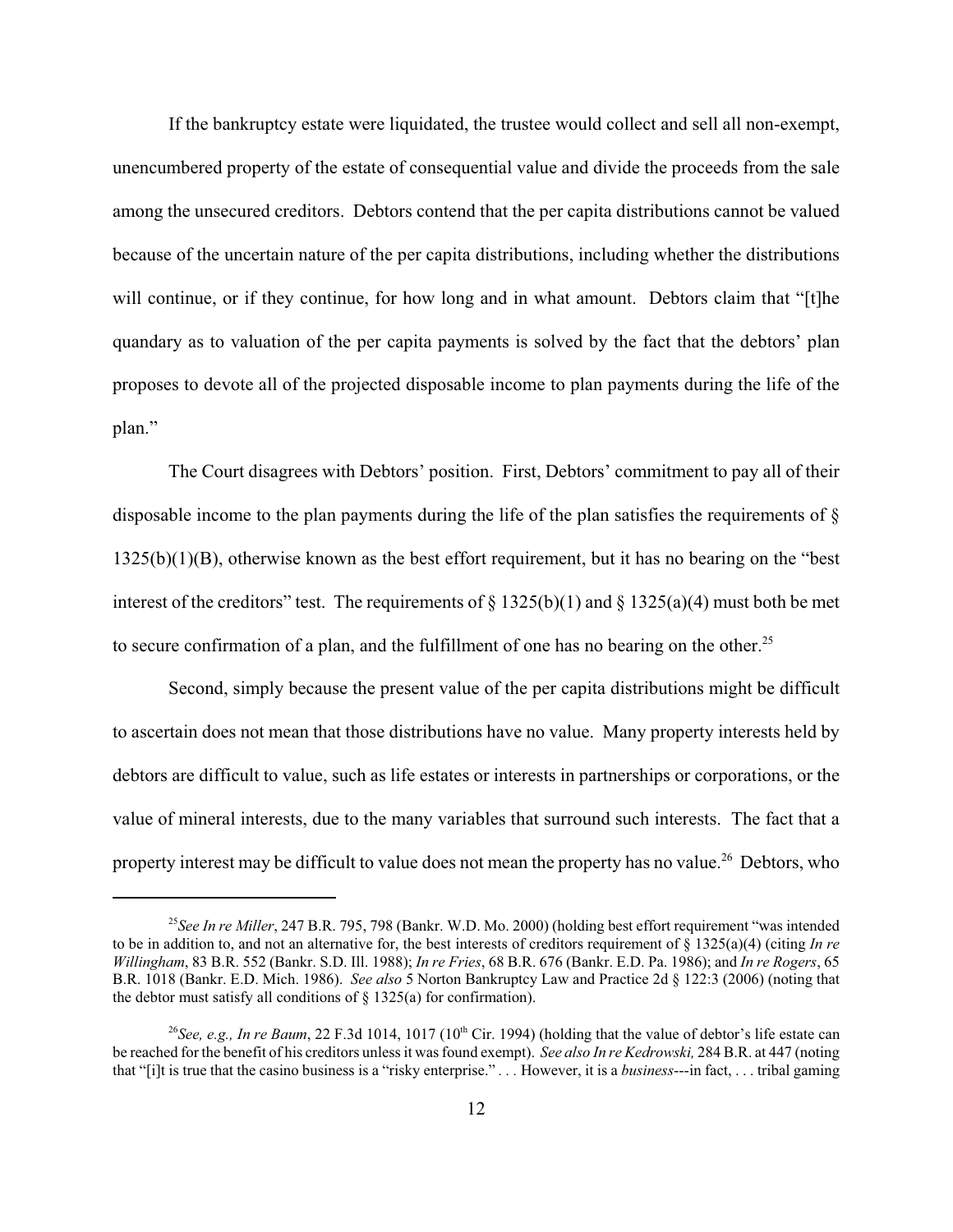If the bankruptcy estate were liquidated, the trustee would collect and sell all non-exempt, unencumbered property of the estate of consequential value and divide the proceeds from the sale among the unsecured creditors. Debtors contend that the per capita distributions cannot be valued because of the uncertain nature of the per capita distributions, including whether the distributions will continue, or if they continue, for how long and in what amount. Debtors claim that "[t]he quandary as to valuation of the per capita payments is solved by the fact that the debtors' plan proposes to devote all of the projected disposable income to plan payments during the life of the plan."

The Court disagrees with Debtors' position. First, Debtors' commitment to pay all of their disposable income to the plan payments during the life of the plan satisfies the requirements of § 1325(b)(1)(B), otherwise known as the best effort requirement, but it has no bearing on the "best interest of the creditors" test. The requirements of  $\S 1325(b)(1)$  and  $\S 1325(a)(4)$  must both be met to secure confirmation of a plan, and the fulfillment of one has no bearing on the other.<sup>25</sup>

Second, simply because the present value of the per capita distributions might be difficult to ascertain does not mean that those distributions have no value. Many property interests held by debtors are difficult to value, such as life estates or interests in partnerships or corporations, or the value of mineral interests, due to the many variables that surround such interests. The fact that a property interest may be difficult to value does not mean the property has no value.<sup>26</sup> Debtors, who

<sup>25</sup>*See In re Miller*, 247 B.R. 795, 798 (Bankr. W.D. Mo. 2000) (holding best effort requirement "was intended to be in addition to, and not an alternative for, the best interests of creditors requirement of  $\S$  1325(a)(4) (citing *In re Willingham*, 83 B.R. 552 (Bankr. S.D. Ill. 1988); *In re Fries*, 68 B.R. 676 (Bankr. E.D. Pa. 1986); and *In re Rogers*, 65 B.R. 1018 (Bankr. E.D. Mich. 1986). *See also* 5 Norton Bankruptcy Law and Practice 2d § 122:3 (2006) (noting that the debtor must satisfy all conditions of  $\S$  1325(a) for confirmation).

<sup>&</sup>lt;sup>26</sup>See, e.g., In re Baum, 22 F.3d 1014, 1017 (10<sup>th</sup> Cir. 1994) (holding that the value of debtor's life estate can be reached for the benefit of his creditors unless it was found exempt). *See also In re Kedrowski,* 284 B.R. at 447 (noting that "[i]t is true that the casino business is a "risky enterprise." *. . .* However, it is a *business*---in fact, . . . tribal gaming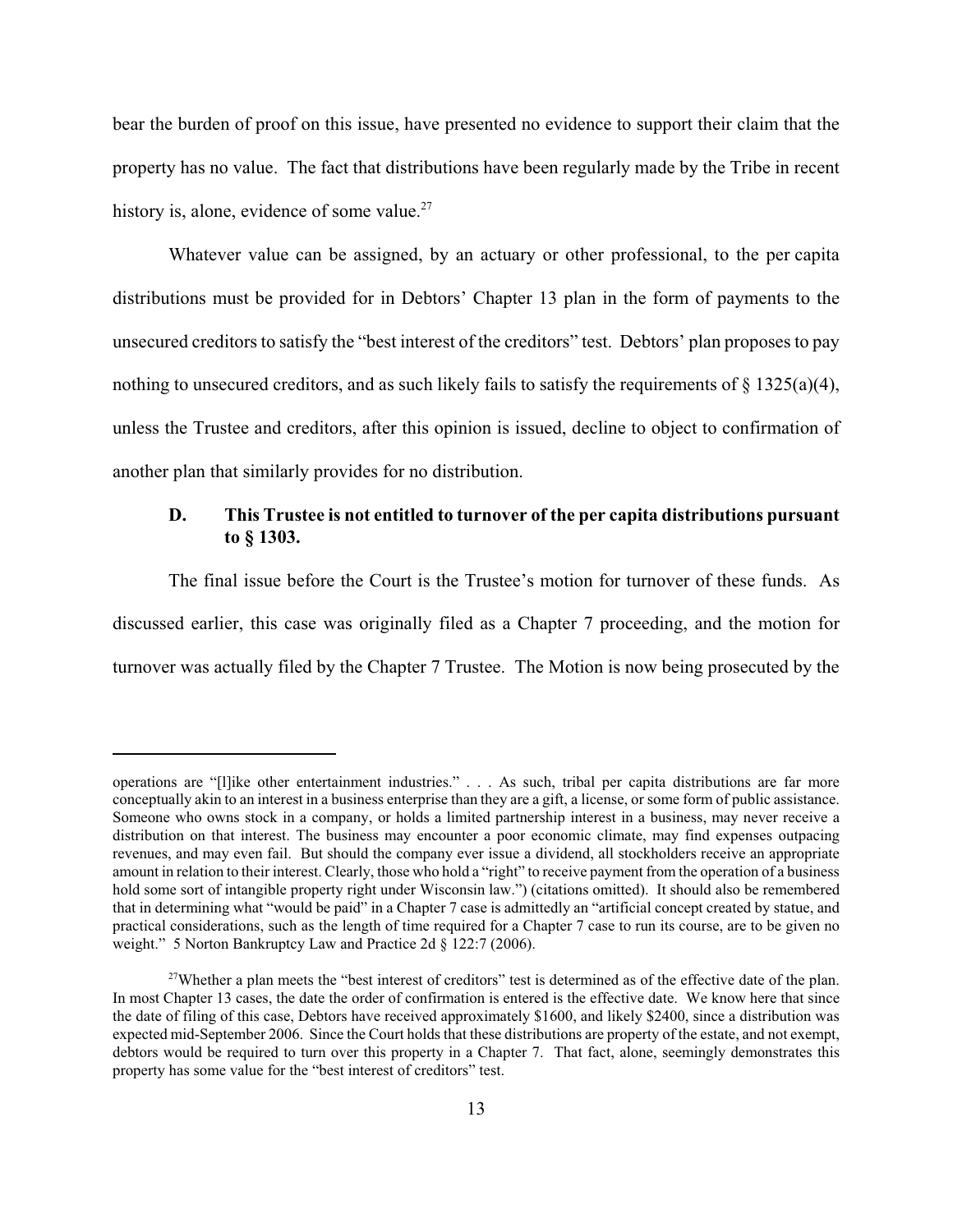bear the burden of proof on this issue, have presented no evidence to support their claim that the property has no value. The fact that distributions have been regularly made by the Tribe in recent history is, alone, evidence of some value. $27$ 

 Whatever value can be assigned, by an actuary or other professional, to the per capita distributions must be provided for in Debtors' Chapter 13 plan in the form of payments to the unsecured creditors to satisfy the "best interest of the creditors" test. Debtors' plan proposes to pay nothing to unsecured creditors, and as such likely fails to satisfy the requirements of  $\S 1325(a)(4)$ , unless the Trustee and creditors, after this opinion is issued, decline to object to confirmation of another plan that similarly provides for no distribution.

### **D. This Trustee is not entitled to turnover of the per capita distributions pursuant to § 1303.**

The final issue before the Court is the Trustee's motion for turnover of these funds. As discussed earlier, this case was originally filed as a Chapter 7 proceeding, and the motion for turnover was actually filed by the Chapter 7 Trustee. The Motion is now being prosecuted by the

operations are "[l]ike other entertainment industries." . . . As such, tribal per capita distributions are far more conceptually akin to an interest in a business enterprise than they are a gift, a license, or some form of public assistance. Someone who owns stock in a company, or holds a limited partnership interest in a business, may never receive a distribution on that interest. The business may encounter a poor economic climate, may find expenses outpacing revenues, and may even fail. But should the company ever issue a dividend, all stockholders receive an appropriate amount in relation to their interest. Clearly, those who hold a "right" to receive payment from the operation of a business hold some sort of intangible property right under Wisconsin law.") (citations omitted). It should also be remembered that in determining what "would be paid" in a Chapter 7 case is admittedly an "artificial concept created by statue, and practical considerations, such as the length of time required for a Chapter 7 case to run its course, are to be given no weight." 5 Norton Bankruptcy Law and Practice 2d § 122:7 (2006).

<sup>&</sup>lt;sup>27</sup>Whether a plan meets the "best interest of creditors" test is determined as of the effective date of the plan. In most Chapter 13 cases, the date the order of confirmation is entered is the effective date. We know here that since the date of filing of this case, Debtors have received approximately \$1600, and likely \$2400, since a distribution was expected mid-September 2006. Since the Court holds that these distributions are property of the estate, and not exempt, debtors would be required to turn over this property in a Chapter 7. That fact, alone, seemingly demonstrates this property has some value for the "best interest of creditors" test.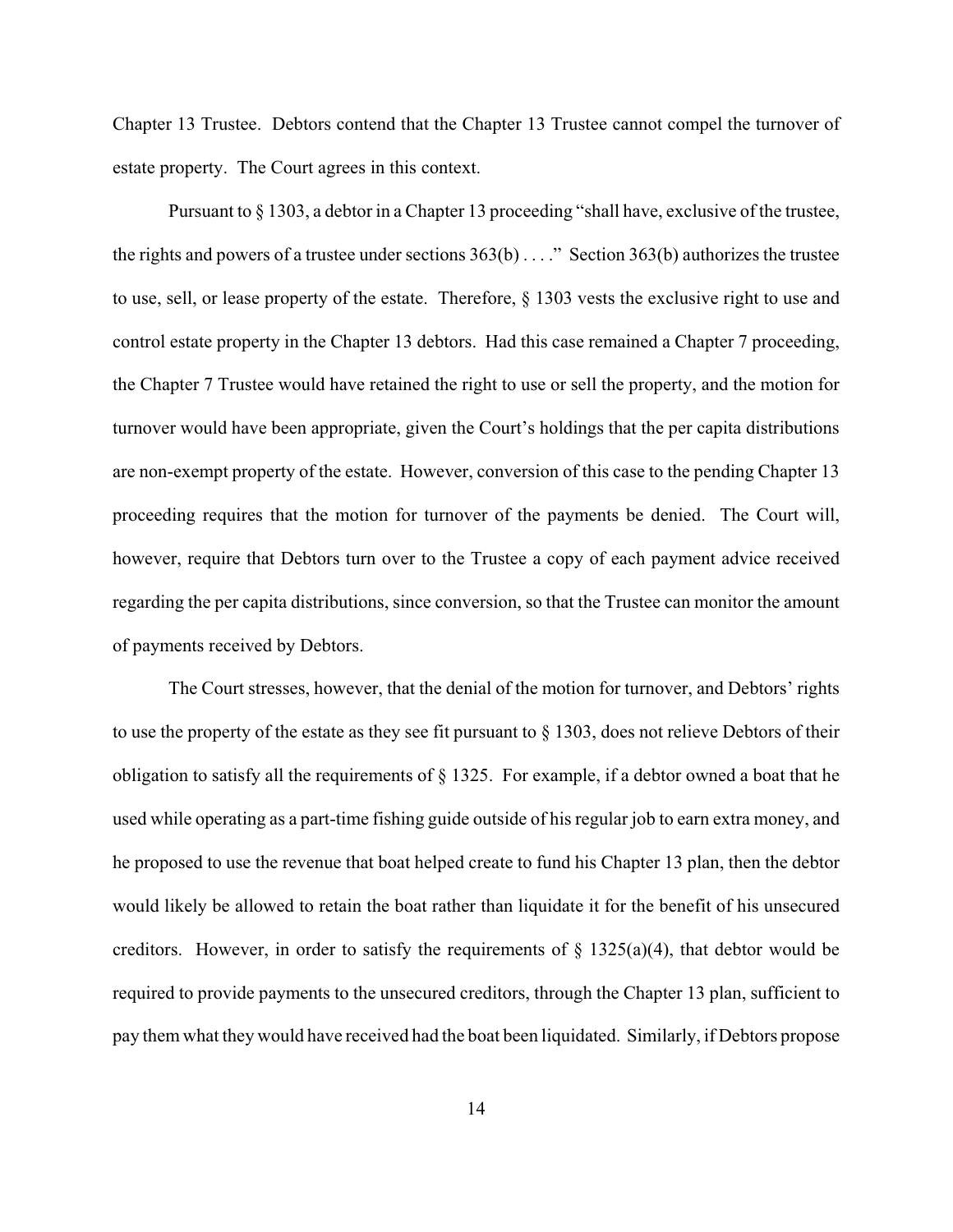Chapter 13 Trustee. Debtors contend that the Chapter 13 Trustee cannot compel the turnover of estate property. The Court agrees in this context.

Pursuant to § 1303, a debtor in a Chapter 13 proceeding "shall have, exclusive of the trustee, the rights and powers of a trustee under sections 363(b) . . . ." Section 363(b) authorizes the trustee to use, sell, or lease property of the estate. Therefore, § 1303 vests the exclusive right to use and control estate property in the Chapter 13 debtors. Had this case remained a Chapter 7 proceeding, the Chapter 7 Trustee would have retained the right to use or sell the property, and the motion for turnover would have been appropriate, given the Court's holdings that the per capita distributions are non-exempt property of the estate. However, conversion of this case to the pending Chapter 13 proceeding requires that the motion for turnover of the payments be denied. The Court will, however, require that Debtors turn over to the Trustee a copy of each payment advice received regarding the per capita distributions, since conversion, so that the Trustee can monitor the amount of payments received by Debtors.

The Court stresses, however, that the denial of the motion for turnover, and Debtors' rights to use the property of the estate as they see fit pursuant to § 1303, does not relieve Debtors of their obligation to satisfy all the requirements of § 1325. For example, if a debtor owned a boat that he used while operating as a part-time fishing guide outside of his regular job to earn extra money, and he proposed to use the revenue that boat helped create to fund his Chapter 13 plan, then the debtor would likely be allowed to retain the boat rather than liquidate it for the benefit of his unsecured creditors. However, in order to satisfy the requirements of  $\S$  1325(a)(4), that debtor would be required to provide payments to the unsecured creditors, through the Chapter 13 plan, sufficient to pay them what they would have received had the boat been liquidated. Similarly, if Debtors propose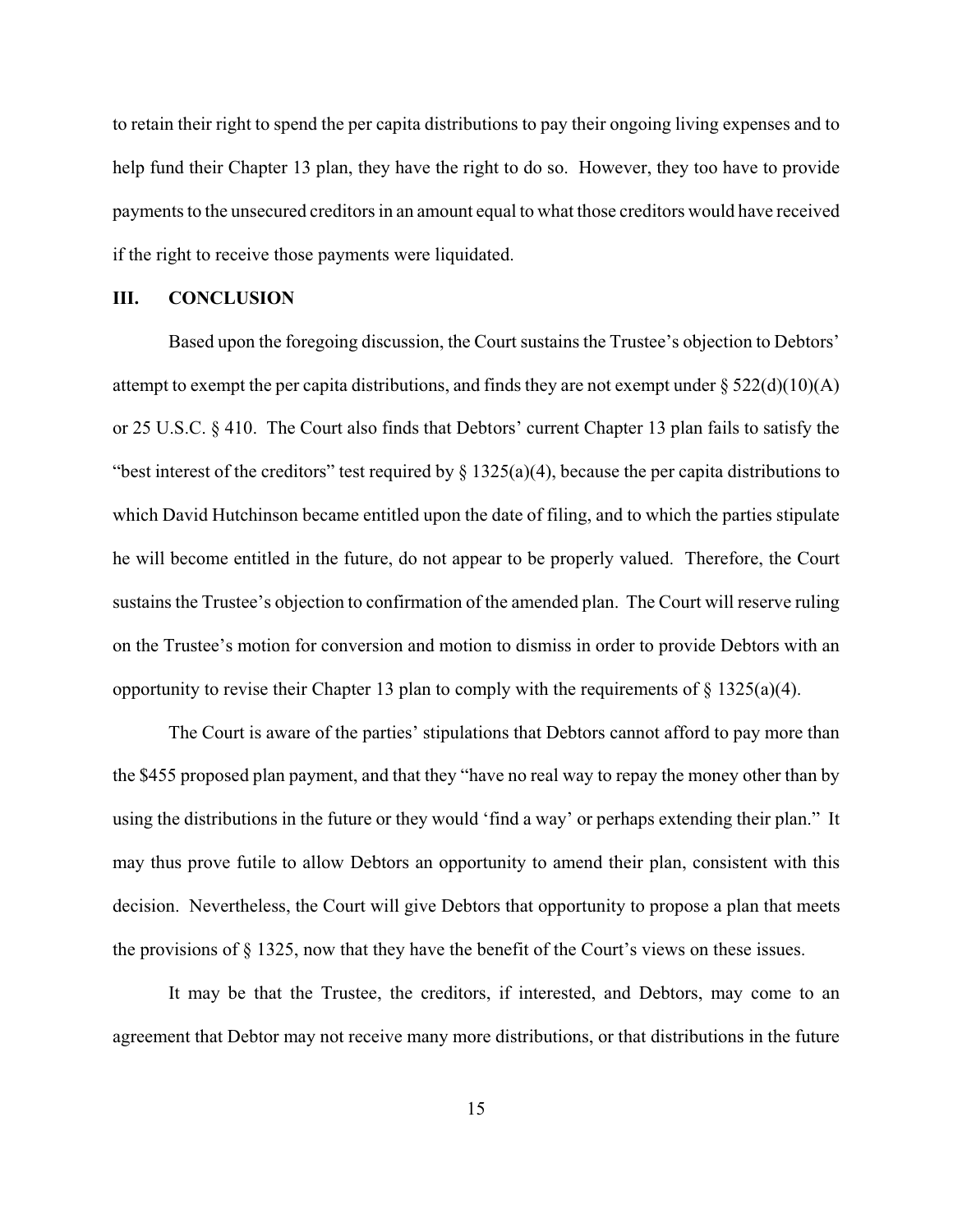to retain their right to spend the per capita distributions to pay their ongoing living expenses and to help fund their Chapter 13 plan, they have the right to do so. However, they too have to provide payments to the unsecured creditors in an amount equal to what those creditors would have received if the right to receive those payments were liquidated.

#### **III. CONCLUSION**

Based upon the foregoing discussion, the Court sustains the Trustee's objection to Debtors' attempt to exempt the per capita distributions, and finds they are not exempt under  $\S 522(d)(10)(A)$ or 25 U.S.C. § 410. The Court also finds that Debtors' current Chapter 13 plan fails to satisfy the "best interest of the creditors" test required by  $\S 1325(a)(4)$ , because the per capita distributions to which David Hutchinson became entitled upon the date of filing, and to which the parties stipulate he will become entitled in the future, do not appear to be properly valued. Therefore, the Court sustains the Trustee's objection to confirmation of the amended plan. The Court will reserve ruling on the Trustee's motion for conversion and motion to dismiss in order to provide Debtors with an opportunity to revise their Chapter 13 plan to comply with the requirements of  $\S$  1325(a)(4).

The Court is aware of the parties' stipulations that Debtors cannot afford to pay more than the \$455 proposed plan payment, and that they "have no real way to repay the money other than by using the distributions in the future or they would 'find a way' or perhaps extending their plan." It may thus prove futile to allow Debtors an opportunity to amend their plan, consistent with this decision. Nevertheless, the Court will give Debtors that opportunity to propose a plan that meets the provisions of § 1325, now that they have the benefit of the Court's views on these issues.

It may be that the Trustee, the creditors, if interested, and Debtors, may come to an agreement that Debtor may not receive many more distributions, or that distributions in the future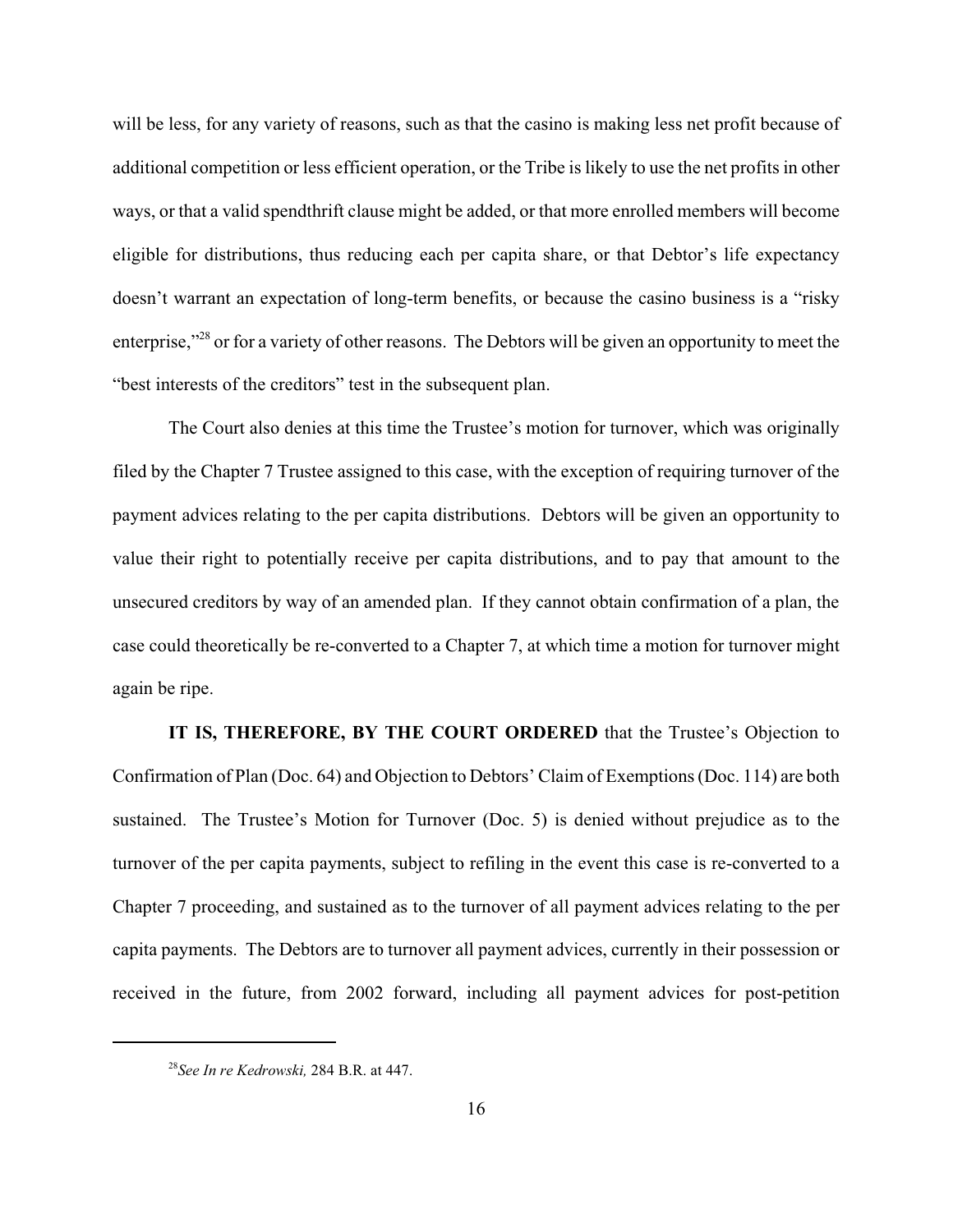will be less, for any variety of reasons, such as that the casino is making less net profit because of additional competition or less efficient operation, or the Tribe is likely to use the net profits in other ways, or that a valid spendthrift clause might be added, or that more enrolled members will become eligible for distributions, thus reducing each per capita share, or that Debtor's life expectancy doesn't warrant an expectation of long-term benefits, or because the casino business is a "risky enterprise,"28 or for a variety of other reasons. The Debtors will be given an opportunity to meet the "best interests of the creditors" test in the subsequent plan.

The Court also denies at this time the Trustee's motion for turnover, which was originally filed by the Chapter 7 Trustee assigned to this case, with the exception of requiring turnover of the payment advices relating to the per capita distributions. Debtors will be given an opportunity to value their right to potentially receive per capita distributions, and to pay that amount to the unsecured creditors by way of an amended plan. If they cannot obtain confirmation of a plan, the case could theoretically be re-converted to a Chapter 7, at which time a motion for turnover might again be ripe.

**IT IS, THEREFORE, BY THE COURT ORDERED** that the Trustee's Objection to Confirmation of Plan (Doc. 64) and Objection to Debtors' Claim of Exemptions (Doc. 114) are both sustained. The Trustee's Motion for Turnover (Doc. 5) is denied without prejudice as to the turnover of the per capita payments, subject to refiling in the event this case is re-converted to a Chapter 7 proceeding, and sustained as to the turnover of all payment advices relating to the per capita payments. The Debtors are to turnover all payment advices, currently in their possession or received in the future, from 2002 forward, including all payment advices for post-petition

<sup>28</sup>*See In re Kedrowski,* 284 B.R. at 447.